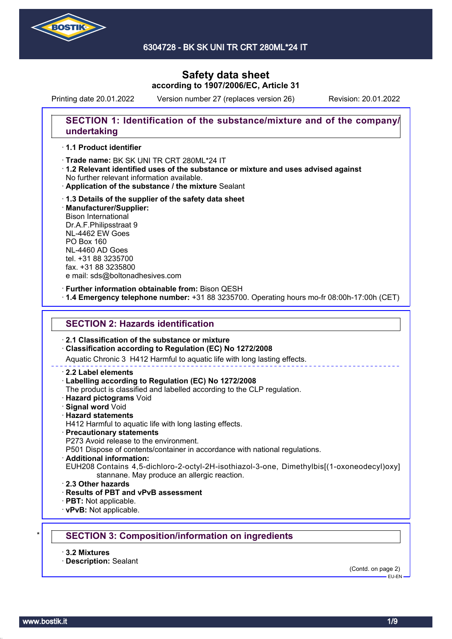

6304728 - BK SK UNI TR CRT 280ML\*24 IT

## **Safety data sheet according to 1907/2006/EC, Article 31**

Printing date 20.01.2022 Version number 27 (replaces version 26) Revision: 20.01.2022

### **SECTION 1: Identification of the substance/mixture and of the company/ undertaking**

### · **1.1 Product identifier**

· Trade name: BK SK UNI TR CRT 280ML\*24 IT

- · **1.2 Relevant identified uses of the substance or mixture and uses advised against** No further relevant information available.
- · **Application of the substance / the mixture** Sealant
- · **1.3 Details of the supplier of the safety data sheet** · **Manufacturer/Supplier:** Bison International Dr.A.F.Philipsstraat 9 NL-4462 EW Goes PO Box 160 NL-4460 AD Goes tel. +31 88 3235700 fax. +31 88 3235800 e mail: sds@boltonadhesives.com

#### · **Further information obtainable from:** Bison QESH

· **1.4 Emergency telephone number:** +31 88 3235700. Operating hours mo-fr 08:00h-17:00h (CET)

### **SECTION 2: Hazards identification**

#### · **2.1 Classification of the substance or mixture**

### · **Classification according to Regulation (EC) No 1272/2008**

Aquatic Chronic 3 H412 Harmful to aquatic life with long lasting effects.

#### · **2.2 Label elements**

#### · **Labelling according to Regulation (EC) No 1272/2008**

The product is classified and labelled according to the CLP regulation.

- · **Hazard pictograms** Void
- · **Signal word** Void
- · **Hazard statements**
- H412 Harmful to aquatic life with long lasting effects.

#### · **Precautionary statements**

P273 Avoid release to the environment.

P501 Dispose of contents/container in accordance with national regulations.

- · **Additional information:**
- EUH208 Contains 4,5-dichloro-2-octyl-2H-isothiazol-3-one, Dimethylbis[(1-oxoneodecyl)oxy] stannane. May produce an allergic reaction.
- · **2.3 Other hazards**
- · **Results of PBT and vPvB assessment**
- · **PBT:** Not applicable.
- · **vPvB:** Not applicable.

### \* **SECTION 3: Composition/information on ingredients**

- · **3.2 Mixtures**
- · **Description:** Sealant

(Contd. on page 2)  $-$ EH-EN-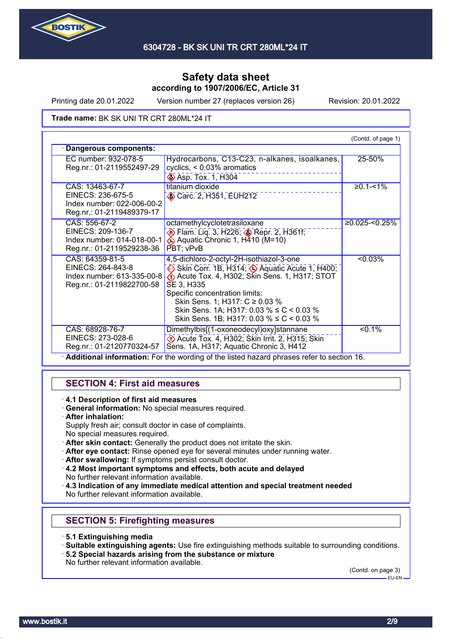

Printing date 20.01.2022 Version number 27 (replaces version 26) Revision: 20.01.2022

Trade name: BK SK UNI TR CRT 280ML\*24 IT

|                                                                                                 |                                                                                                                                                                                                                                                                                                                                                     | (Contd. of page 1) |
|-------------------------------------------------------------------------------------------------|-----------------------------------------------------------------------------------------------------------------------------------------------------------------------------------------------------------------------------------------------------------------------------------------------------------------------------------------------------|--------------------|
| Dangerous components:                                                                           |                                                                                                                                                                                                                                                                                                                                                     |                    |
| EC number: 932-078-5<br>Reg.nr.: 01-2119552497-29                                               | Hydrocarbons, C13-C23, n-alkanes, isoalkanes,<br>cyclics, $< 0.03\%$ aromatics<br><b>Asp. Tox. 1, H304</b>                                                                                                                                                                                                                                          | 25-50%             |
| CAS: 13463-67-7<br>EINECS: 236-675-5<br>Index number: 022-006-00-2<br>Reg.nr.: 01-2119489379-17 | titanium dioxide<br>Carc. 2, H351, EUH212                                                                                                                                                                                                                                                                                                           | $≥0.1 - 1%$        |
| CAS: 556-67-2<br>EINECS: 209-136-7<br>Index number: 014-018-00-1<br>Reg.nr.: 01-2119529238-36   | octamethylcyclotetrasiloxane<br><b>Elam.</b> Liq. 3, H226; <b>Bridge Repr. 2, H361f</b> ;<br>Aquatic Chronic 1, H410 (M=10)<br>PBT; vPvB                                                                                                                                                                                                            | $≥0.025$ -<0.25%   |
| CAS: 64359-81-5<br>EINECS: 264-843-8<br>Index number: 613-335-00-8<br>Reg.nr.: 01-2119822700-58 | 4,5-dichloro-2-octyl-2H-isothiazol-3-one<br>Skin Corr. 1B, H314; Aquatic Acute 1, H400;<br>$\langle \cdot \rangle$ Acute Tox. 4, H302; Skin Sens. 1, H317; STOT<br>SE 3, H335<br>Specific concentration limits:<br>Skin Sens. 1; H317: C ≥ 0.03 %<br>Skin Sens. 1A; H317: 0.03 % $\leq C$ < 0.03 %<br>Skin Sens. 1B; H317: 0.03 % $\leq C$ < 0.03 % | $< 0.03\%$         |
| CAS: 68928-76-7<br>EINECS: 273-028-6<br>Reg.nr.: 01-2120770324-57                               | Dimethylbis[(1-oxoneodecyl)oxy]stannane<br>Decute Tox. 4, H302; Skin Irrit. 2, H315; Skin<br>Sens. 1A, H317; Aquatic Chronic 3, H412                                                                                                                                                                                                                | $< 0.1\%$          |

### **SECTION 4: First aid measures**

· **4.1 Description of first aid measures**

- · **General information:** No special measures required.
- · **After inhalation:**

Supply fresh air; consult doctor in case of complaints. No special measures required.

- · **After skin contact:** Generally the product does not irritate the skin.
- · **After eye contact:** Rinse opened eye for several minutes under running water.
- After swallowing: If symptoms persist consult doctor.
- · **4.2 Most important symptoms and effects, both acute and delayed** No further relevant information available.
- · **4.3 Indication of any immediate medical attention and special treatment needed** No further relevant information available.

### **SECTION 5: Firefighting measures**

- · **5.1 Extinguishing media**
- · **Suitable extinguishing agents:** Use fire extinguishing methods suitable to surrounding conditions.
- · **5.2 Special hazards arising from the substance or mixture**
- No further relevant information available.

(Contd. on page 3)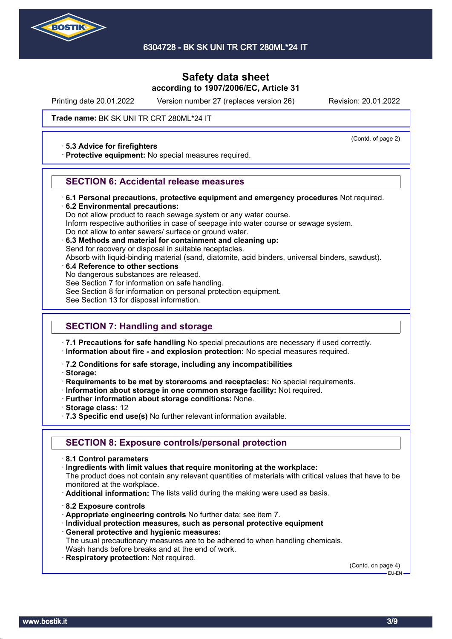

6304728 - BK SK UNI TR CRT 280ML\*24 IT

### **Safety data sheet according to 1907/2006/EC, Article 31**

Printing date 20.01.2022 Version number 27 (replaces version 26) Revision: 20.01.2022

(Contd. of page 2)

### Trade name: BK SK UNI TR CRT 280ML\*24 IT

#### · **5.3 Advice for firefighters**

· **Protective equipment:** No special measures required.

### **SECTION 6: Accidental release measures**

- · **6.1 Personal precautions, protective equipment and emergency procedures** Not required.
- · **6.2 Environmental precautions:**

Do not allow product to reach sewage system or any water course.

Inform respective authorities in case of seepage into water course or sewage system.

- Do not allow to enter sewers/ surface or ground water.
- · **6.3 Methods and material for containment and cleaning up:**

Send for recovery or disposal in suitable receptacles.

Absorb with liquid-binding material (sand, diatomite, acid binders, universal binders, sawdust).

- · **6.4 Reference to other sections**
- No dangerous substances are released.

See Section 7 for information on safe handling.

- See Section 8 for information on personal protection equipment.
- See Section 13 for disposal information.

### **SECTION 7: Handling and storage**

· **7.1 Precautions for safe handling** No special precautions are necessary if used correctly.

- · **Information about fire and explosion protection:** No special measures required.
- · **7.2 Conditions for safe storage, including any incompatibilities**
- · **Storage:**
- · **Requirements to be met by storerooms and receptacles:** No special requirements.
- · **Information about storage in one common storage facility:** Not required.
- · **Further information about storage conditions:** None.
- · **Storage class:** 12
- · **7.3 Specific end use(s)** No further relevant information available.

### **SECTION 8: Exposure controls/personal protection**

- · **8.1 Control parameters**
- · **Ingredients with limit values that require monitoring at the workplace:**

The product does not contain any relevant quantities of materials with critical values that have to be monitored at the workplace.

- · **Additional information:** The lists valid during the making were used as basis.
- · **8.2 Exposure controls**
- · **Appropriate engineering controls** No further data; see item 7.
- · **Individual protection measures, such as personal protective equipment**
- · **General protective and hygienic measures:**

The usual precautionary measures are to be adhered to when handling chemicals. Wash hands before breaks and at the end of work.

· **Respiratory protection:** Not required.

(Contd. on page 4) EU-EN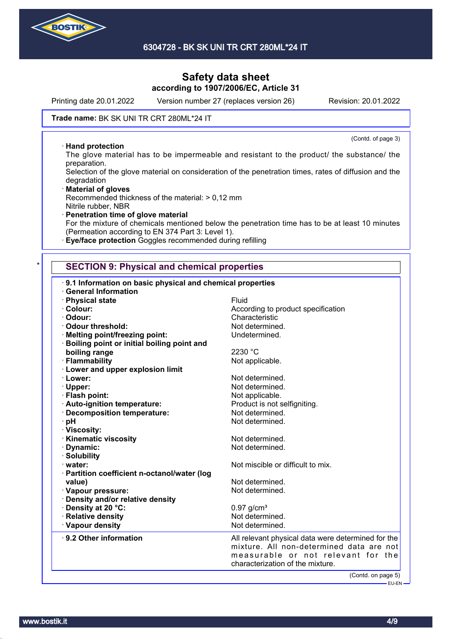

Printing date 20.01.2022 Version number 27 (replaces version 26) Revision: 20.01.2022

(Contd. of page 3)

#### Trade name: BK SK UNI TR CRT 280ML\*24 IT

#### · **Hand protection**

The glove material has to be impermeable and resistant to the product/ the substance/ the preparation.

Selection of the glove material on consideration of the penetration times, rates of diffusion and the degradation

· **Material of gloves** Recommended thickness of the material: > 0,12 mm Nitrile rubber, NBR

· **Penetration time of glove material** For the mixture of chemicals mentioned below the penetration time has to be at least 10 minutes (Permeation according to EN 374 Part 3: Level 1).

· **Eye/face protection** Goggles recommended during refilling

### **SECTION 9: Physical and chemical properties**

| 9.1 Information on basic physical and chemical properties |                                                                                                                                                                          |
|-----------------------------------------------------------|--------------------------------------------------------------------------------------------------------------------------------------------------------------------------|
| <b>General Information</b>                                | Fluid                                                                                                                                                                    |
| · Physical state                                          |                                                                                                                                                                          |
| · Colour:                                                 | According to product specification                                                                                                                                       |
| · Odour:                                                  | Characteristic                                                                                                                                                           |
| Odour threshold:                                          | Not determined.                                                                                                                                                          |
| · Melting point/freezing point:                           | Undetermined.                                                                                                                                                            |
| · Boiling point or initial boiling point and              |                                                                                                                                                                          |
| boiling range                                             | 2230 °C                                                                                                                                                                  |
| · Flammability                                            | Not applicable.                                                                                                                                                          |
| · Lower and upper explosion limit                         |                                                                                                                                                                          |
| · Lower:                                                  | Not determined.                                                                                                                                                          |
| · Upper:                                                  | Not determined.                                                                                                                                                          |
| · Flash point:                                            | Not applicable.                                                                                                                                                          |
| · Auto-ignition temperature:                              | Product is not selfigniting.                                                                                                                                             |
| · Decomposition temperature:                              | Not determined.                                                                                                                                                          |
| · pH                                                      | Not determined.                                                                                                                                                          |
| · Viscosity:                                              |                                                                                                                                                                          |
| <b>Kinematic viscosity</b>                                | Not determined.                                                                                                                                                          |
| · Dynamic:                                                | Not determined.                                                                                                                                                          |
| · Solubility                                              |                                                                                                                                                                          |
| water:                                                    | Not miscible or difficult to mix.                                                                                                                                        |
| · Partition coefficient n-octanol/water (log              |                                                                                                                                                                          |
| value)                                                    | Not determined.                                                                                                                                                          |
|                                                           | Not determined.                                                                                                                                                          |
| · Vapour pressure:                                        |                                                                                                                                                                          |
| · Density and/or relative density                         |                                                                                                                                                                          |
| · Density at 20 °C:                                       | $0.97$ g/cm <sup>3</sup>                                                                                                                                                 |
| · Relative density                                        | Not determined.                                                                                                                                                          |
| · Vapour density                                          | Not determined.                                                                                                                                                          |
| 9.2 Other information                                     | All relevant physical data were determined for the<br>mixture. All non-determined data are not<br>measurable or not relevant for the<br>characterization of the mixture. |
|                                                           | (Contd. on page 5)                                                                                                                                                       |
|                                                           | - EU-EN -                                                                                                                                                                |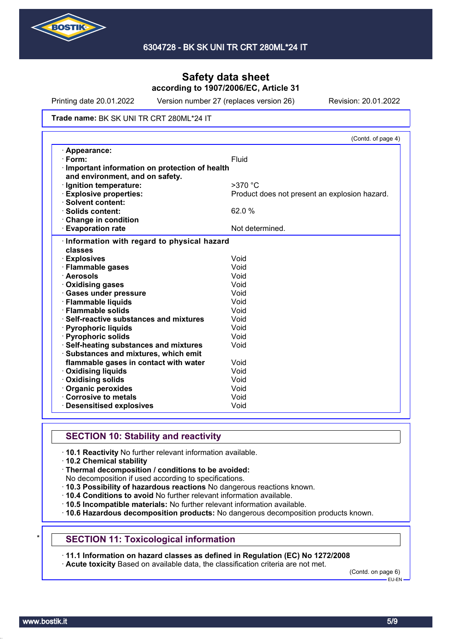

Printing date 20.01.2022 Version number 27 (replaces version 26) Revision: 20.01.2022

#### Trade name: BK SK UNI TR CRT 280ML\*24 IT

|                                                                                  | (Contd. of page 4)                            |
|----------------------------------------------------------------------------------|-----------------------------------------------|
| · Appearance:                                                                    |                                               |
| · Form:                                                                          | Fluid                                         |
| Important information on protection of health<br>and environment, and on safety. |                                               |
| · Ignition temperature:                                                          | $>370$ °C                                     |
| <b>Explosive properties:</b>                                                     | Product does not present an explosion hazard. |
| · Solvent content:                                                               |                                               |
| · Solids content:                                                                | 62.0 %                                        |
| Change in condition                                                              |                                               |
| <b>Evaporation rate</b>                                                          | Not determined.                               |
| Information with regard to physical hazard<br>classes                            |                                               |
| · Explosives                                                                     | Void                                          |
| · Flammable gases                                                                | Void                                          |
| · Aerosols                                                                       | Void                                          |
| Oxidising gases                                                                  | Void                                          |
| · Gases under pressure                                                           | Void                                          |
| · Flammable liquids                                                              | Void                                          |
| · Flammable solids                                                               | Void                                          |
| · Self-reactive substances and mixtures                                          | Void                                          |
| · Pyrophoric liquids                                                             | Void                                          |
| · Pyrophoric solids                                                              | Void                                          |
| · Self-heating substances and mixtures                                           | Void                                          |
| · Substances and mixtures, which emit                                            |                                               |
| flammable gases in contact with water                                            | Void                                          |
| <b>⋅ Oxidising liquids</b>                                                       | Void                                          |
| · Oxidising solids                                                               | Void                                          |
| Organic peroxides                                                                | Void                                          |
| Corrosive to metals                                                              | Void                                          |
| <b>Desensitised explosives</b>                                                   | Void                                          |

### **SECTION 10: Stability and reactivity**

- · **10.1 Reactivity** No further relevant information available.
- · **10.2 Chemical stability**
- · **Thermal decomposition / conditions to be avoided:**
- No decomposition if used according to specifications.
- · **10.3 Possibility of hazardous reactions** No dangerous reactions known.
- · **10.4 Conditions to avoid** No further relevant information available.
- · **10.5 Incompatible materials:** No further relevant information available.
- · **10.6 Hazardous decomposition products:** No dangerous decomposition products known.

### **SECTION 11: Toxicological information**

· **11.1 Information on hazard classes as defined in Regulation (EC) No 1272/2008**

· **Acute toxicity** Based on available data, the classification criteria are not met.

(Contd. on page 6) EU-EN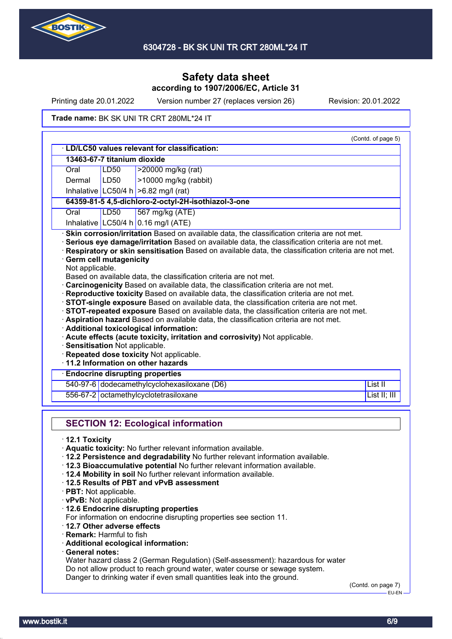

Printing date 20.01.2022 Version number 27 (replaces version 26) Revision: 20.01.2022

#### Trade name: BK SK UNI TR CRT 280ML\*24 IT

|                                                  |                             | · LD/LC50 values relevant for classification:                                                                                                                                                                                                                                                                                                                                                                                                                                                                                                                                    |              |
|--------------------------------------------------|-----------------------------|----------------------------------------------------------------------------------------------------------------------------------------------------------------------------------------------------------------------------------------------------------------------------------------------------------------------------------------------------------------------------------------------------------------------------------------------------------------------------------------------------------------------------------------------------------------------------------|--------------|
|                                                  | 13463-67-7 titanium dioxide |                                                                                                                                                                                                                                                                                                                                                                                                                                                                                                                                                                                  |              |
| Oral                                             | LD50                        | >20000 mg/kg (rat)                                                                                                                                                                                                                                                                                                                                                                                                                                                                                                                                                               |              |
| Dermal                                           | <b>LD50</b>                 | >10000 mg/kg (rabbit)                                                                                                                                                                                                                                                                                                                                                                                                                                                                                                                                                            |              |
|                                                  |                             | Inhalative LC50/4 h $>6.82$ mg/l (rat)                                                                                                                                                                                                                                                                                                                                                                                                                                                                                                                                           |              |
|                                                  |                             | 64359-81-5 4,5-dichloro-2-octyl-2H-isothiazol-3-one                                                                                                                                                                                                                                                                                                                                                                                                                                                                                                                              |              |
| Oral                                             | <b>LD50</b>                 | 567 mg/kg (ATE)                                                                                                                                                                                                                                                                                                                                                                                                                                                                                                                                                                  |              |
|                                                  |                             | Inhalative LC50/4 h 0.16 mg/l (ATE)                                                                                                                                                                                                                                                                                                                                                                                                                                                                                                                                              |              |
| <b>Germ cell mutagenicity</b><br>Not applicable. |                             | Based on available data, the classification criteria are not met.<br>Carcinogenicity Based on available data, the classification criteria are not met.<br>Reproductive toxicity Based on available data, the classification criteria are not met.<br><b>STOT-single exposure</b> Based on available data, the classification criteria are not met.<br>STOT-repeated exposure Based on available data, the classification criteria are not met.<br>· Aspiration hazard Based on available data, the classification criteria are not met.<br>Additional toxicological information: |              |
| Sensitisation Not applicable.                    |                             | · Acute effects (acute toxicity, irritation and corrosivity) Not applicable.<br>· Repeated dose toxicity Not applicable.<br>11.2 Information on other hazards                                                                                                                                                                                                                                                                                                                                                                                                                    |              |
|                                                  |                             | <b>Endocrine disrupting properties</b>                                                                                                                                                                                                                                                                                                                                                                                                                                                                                                                                           |              |
|                                                  |                             | 540-97-6 dodecamethylcyclohexasiloxane (D6)                                                                                                                                                                                                                                                                                                                                                                                                                                                                                                                                      | List II      |
| 556-67-2                                         |                             | octamethylcyclotetrasiloxane                                                                                                                                                                                                                                                                                                                                                                                                                                                                                                                                                     | List II; III |

- · **vPvB:** Not applicable.
- · **12.6 Endocrine disrupting properties**
- For information on endocrine disrupting properties see section 11.
- · **12.7 Other adverse effects**
- · **Remark:** Harmful to fish
- · **Additional ecological information:**
- · **General notes:**

Water hazard class 2 (German Regulation) (Self-assessment): hazardous for water Do not allow product to reach ground water, water course or sewage system. Danger to drinking water if even small quantities leak into the ground.

(Contd. on page 7) –<br>EU-EN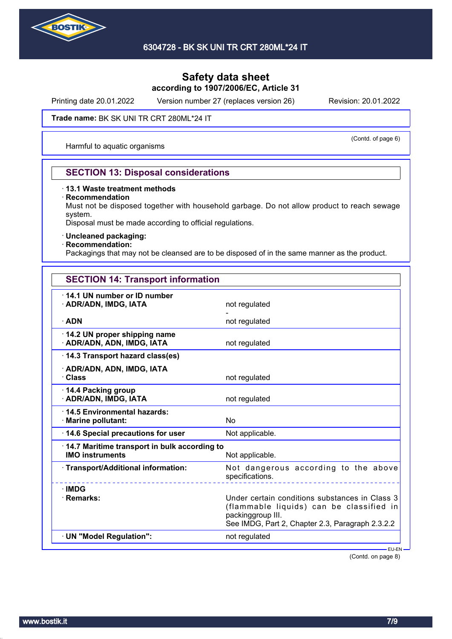

Printing date 20.01.2022 Version number 27 (replaces version 26) Revision: 20.01.2022

#### Trade name: BK SK UNI TR CRT 280ML\*24 IT

Harmful to aquatic organisms

# (Contd. of page 6)

### **SECTION 13: Disposal considerations**

### · **13.1 Waste treatment methods**

#### · **Recommendation**

Must not be disposed together with household garbage. Do not allow product to reach sewage system.

Disposal must be made according to official regulations.

### · **Uncleaned packaging:**

### · **Recommendation:**

Packagings that may not be cleansed are to be disposed of in the same manner as the product.

| <b>SECTION 14: Transport information</b> |  |
|------------------------------------------|--|
|------------------------------------------|--|

| 14.1 UN number or ID number<br>· ADR/ADN, IMDG, IATA                   | not regulated                                                                                                                                                       |
|------------------------------------------------------------------------|---------------------------------------------------------------------------------------------------------------------------------------------------------------------|
| $\cdot$ ADN                                                            | not regulated                                                                                                                                                       |
| 14.2 UN proper shipping name<br>· ADR/ADN, ADN, IMDG, IATA             | not regulated                                                                                                                                                       |
| 14.3 Transport hazard class(es)                                        |                                                                                                                                                                     |
| · ADR/ADN, ADN, IMDG, IATA<br>· Class                                  | not regulated                                                                                                                                                       |
| 14.4 Packing group<br>· ADR/ADN, IMDG, IATA                            | not regulated                                                                                                                                                       |
| 14.5 Environmental hazards:<br>· Marine pollutant:                     | No                                                                                                                                                                  |
| 14.6 Special precautions for user                                      | Not applicable.                                                                                                                                                     |
| 14.7 Maritime transport in bulk according to<br><b>IMO instruments</b> | Not applicable.                                                                                                                                                     |
| · Transport/Additional information:                                    | Not dangerous according to the above<br>specifications.<br><u>__________</u>                                                                                        |
| · IMDG<br>· Remarks:                                                   | Under certain conditions substances in Class 3<br>(flammable liquids) can be classified in<br>packinggroup III.<br>See IMDG, Part 2, Chapter 2.3, Paragraph 2.3.2.2 |
| · UN "Model Regulation":                                               | not regulated                                                                                                                                                       |
|                                                                        | - EU-EN-                                                                                                                                                            |

(Contd. on page 8)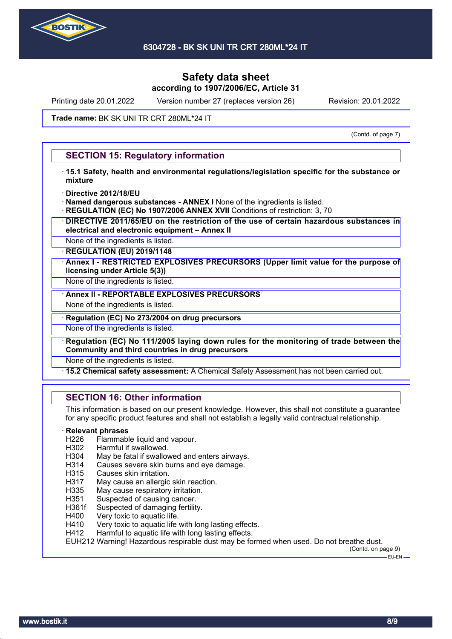

Printing date 20.01.2022 Version number 27 (replaces version 26) Revision: 20.01.2022

#### Trade name: BK SK UNI TR CRT 280ML\*24 IT

(Contd. of page 7)

### **SECTION 15: Regulatory information**

- · **15.1 Safety, health and environmental regulations/legislation specific for the substance or mixture**
- · **Directive 2012/18/EU**
- · **Named dangerous substances ANNEX I** None of the ingredients is listed.
- **REGULATION (EC) No 1907/2006 ANNEX XVII** Conditions of restriction: 3, 70
- · **DIRECTIVE 2011/65/EU on the restriction of the use of certain hazardous substances in electrical and electronic equipment – Annex II**
- None of the ingredients is listed.

· **REGULATION (EU) 2019/1148**

· **Annex I - RESTRICTED EXPLOSIVES PRECURSORS (Upper limit value for the purpose of licensing under Article 5(3))**

None of the ingredients is listed.

· **Annex II - REPORTABLE EXPLOSIVES PRECURSORS**

None of the ingredients is listed.

· **Regulation (EC) No 273/2004 on drug precursors**

None of the ingredients is listed.

· **Regulation (EC) No 111/2005 laying down rules for the monitoring of trade between the Community and third countries in drug precursors**

None of the ingredients is listed.

· **15.2 Chemical safety assessment:** A Chemical Safety Assessment has not been carried out.

### **SECTION 16: Other information**

This information is based on our present knowledge. However, this shall not constitute a guarantee for any specific product features and shall not establish a legally valid contractual relationship.

#### · **Relevant phrases**

- H226 Flammable liquid and vapour.
- H302 Harmful if swallowed.
- H304 May be fatal if swallowed and enters airways.
- H314 Causes severe skin burns and eye damage.
- H315 Causes skin irritation.
- H317 May cause an allergic skin reaction.
- H335 May cause respiratory irritation.
- H351 Suspected of causing cancer.
- H361f Suspected of damaging fertility.
- H400 Very toxic to aquatic life.
- H410 Very toxic to aquatic life with long lasting effects.
- H412 Harmful to aquatic life with long lasting effects.

EUH212 Warning! Hazardous respirable dust may be formed when used. Do not breathe dust.

(Contd. on page 9) EU-EN